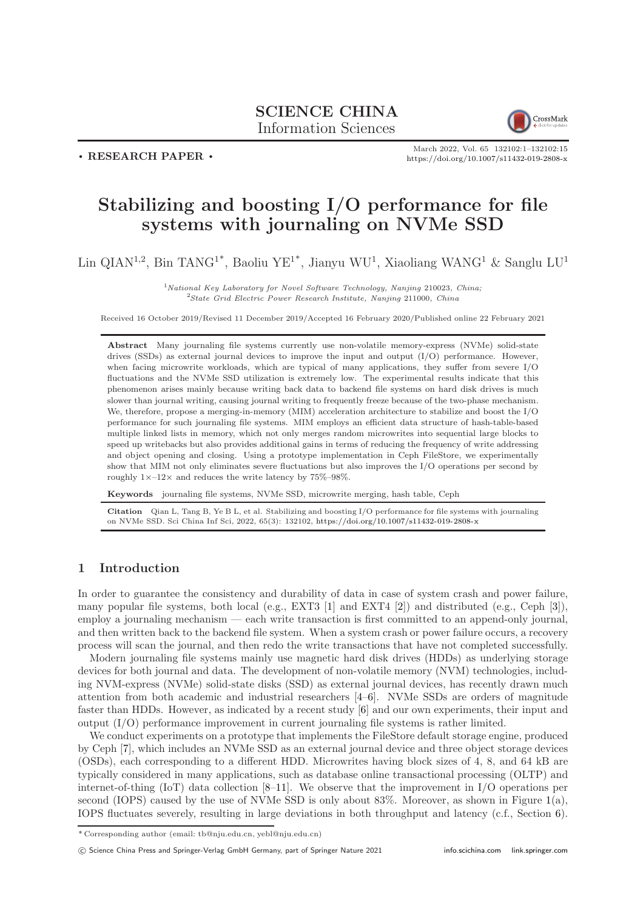# SCIENCE CHINA Information Sciences



 $\cdot$  RESEARCH PAPER  $\cdot$ 

March 2022, Vol. 65 132102:1–132102[:15](#page-14-0) <https://doi.org/10.1007/s11432-019-2808-x>

# Stabilizing and boosting I/O performance for file systems with journaling on NVMe SSD

Lin QIAN<sup>1,2</sup>, Bin TANG<sup>1\*</sup>, Baoliu YE<sup>1\*</sup>, Jianyu WU<sup>1</sup>, Xiaoliang WANG<sup>1</sup> & Sanglu LU<sup>1</sup>

 $1$ National Key Laboratory for Novel Software Technology, Nanjing 210023, China;  $2$ State Grid Electric Power Research Institute, Nanjing 211000, China

Received 16 October 2019/Revised 11 December 2019/Accepted 16 February 2020/Published online 22 February 2021

Abstract Many journaling file systems currently use non-volatile memory-express (NVMe) solid-state drives (SSDs) as external journal devices to improve the input and output  $(I/O)$  performance. However, when facing microwrite workloads, which are typical of many applications, they suffer from severe I/O fluctuations and the NVMe SSD utilization is extremely low. The experimental results indicate that this phenomenon arises mainly because writing back data to backend file systems on hard disk drives is much slower than journal writing, causing journal writing to frequently freeze because of the two-phase mechanism. We, therefore, propose a merging-in-memory (MIM) acceleration architecture to stabilize and boost the I/O performance for such journaling file systems. MIM employs an efficient data structure of hash-table-based multiple linked lists in memory, which not only merges random microwrites into sequential large blocks to speed up writebacks but also provides additional gains in terms of reducing the frequency of write addressing and object opening and closing. Using a prototype implementation in Ceph FileStore, we experimentally show that MIM not only eliminates severe fluctuations but also improves the I/O operations per second by roughly  $1 \times -12 \times$  and reduces the write latency by 75%–98%.

Keywords journaling file systems, NVMe SSD, microwrite merging, hash table, Ceph

Citation Qian L, Tang B, Ye B L, et al. Stabilizing and boosting I/O performance for file systems with journaling on NVMe SSD. Sci China Inf Sci, 2022, 65(3): 132102, <https://doi.org/10.1007/s11432-019-2808-x>

#### 1 Introduction

In order to guarantee the consistency and durability of data in case of system crash and power failure, many popular file systems, both local (e.g., EXT3 [\[1\]](#page-13-0) and EXT4 [\[2\]](#page-13-1)) and distributed (e.g., Ceph [\[3\]](#page-13-2)), employ a journaling mechanism — each write transaction is first committed to an append-only journal, and then written back to the backend file system. When a system crash or power failure occurs, a recovery process will scan the journal, and then redo the write transactions that have not completed successfully.

Modern journaling file systems mainly use magnetic hard disk drives (HDDs) as underlying storage devices for both journal and data. The development of non-volatile memory (NVM) technologies, including NVM-express (NVMe) solid-state disks (SSD) as external journal devices, has recently drawn much attention from both academic and industrial researchers [\[4](#page-13-3)[–6\]](#page-13-4). NVMe SSDs are orders of magnitude faster than HDDs. However, as indicated by a recent study [\[6\]](#page-13-4) and our own experiments, their input and output (I/O) performance improvement in current journaling file systems is rather limited.

We conduct experiments on a prototype that implements the FileStore default storage engine, produced by Ceph [\[7\]](#page-13-5), which includes an NVMe SSD as an external journal device and three object storage devices (OSDs), each corresponding to a different HDD. Microwrites having block sizes of 4, 8, and 64 kB are typically considered in many applications, such as database online transactional processing (OLTP) and internet-of-thing (IoT) data collection [\[8](#page-13-6)[–11\]](#page-13-7). We observe that the improvement in I/O operations per second (IOPS) caused by the use of NVMe SSD is only about  $83\%$ . Moreover, as shown in Figure [1\(](#page-1-0)a), IOPS fluctuates severely, resulting in large deviations in both throughput and latency (c.f., Section [6\)](#page-9-0).

<sup>\*</sup> Corresponding author (email: tb@nju.edu.cn, yebl@nju.edu.cn)

c Science China Press and Springer-Verlag GmbH Germany, part of Springer Nature 2021 <info.scichina.com><link.springer.com>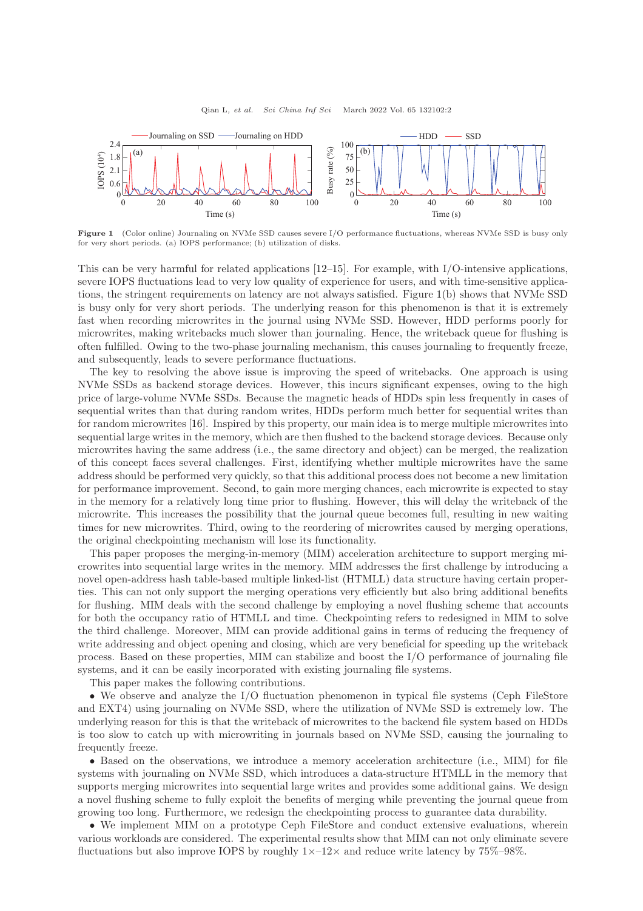<span id="page-1-0"></span>

Figure 1 (Color online) Journaling on NVMe SSD causes severe I/O performance fluctuations, whereas NVMe SSD is busy only for very short periods. (a) IOPS performance; (b) utilization of disks.

This can be very harmful for related applications [\[12](#page-13-8)[–15\]](#page-13-9). For example, with I/O-intensive applications, severe IOPS fluctuations lead to very low quality of experience for users, and with time-sensitive applications, the stringent requirements on latency are not always satisfied. Figure [1\(](#page-1-0)b) shows that NVMe SSD is busy only for very short periods. The underlying reason for this phenomenon is that it is extremely fast when recording microwrites in the journal using NVMe SSD. However, HDD performs poorly for microwrites, making writebacks much slower than journaling. Hence, the writeback queue for flushing is often fulfilled. Owing to the two-phase journaling mechanism, this causes journaling to frequently freeze, and subsequently, leads to severe performance fluctuations.

The key to resolving the above issue is improving the speed of writebacks. One approach is using NVMe SSDs as backend storage devices. However, this incurs significant expenses, owing to the high price of large-volume NVMe SSDs. Because the magnetic heads of HDDs spin less frequently in cases of sequential writes than that during random writes, HDDs perform much better for sequential writes than for random microwrites [\[16\]](#page-13-10). Inspired by this property, our main idea is to merge multiple microwrites into sequential large writes in the memory, which are then flushed to the backend storage devices. Because only microwrites having the same address (i.e., the same directory and object) can be merged, the realization of this concept faces several challenges. First, identifying whether multiple microwrites have the same address should be performed very quickly, so that this additional process does not become a new limitation for performance improvement. Second, to gain more merging chances, each microwrite is expected to stay in the memory for a relatively long time prior to flushing. However, this will delay the writeback of the microwrite. This increases the possibility that the journal queue becomes full, resulting in new waiting times for new microwrites. Third, owing to the reordering of microwrites caused by merging operations, the original checkpointing mechanism will lose its functionality.

This paper proposes the merging-in-memory (MIM) acceleration architecture to support merging microwrites into sequential large writes in the memory. MIM addresses the first challenge by introducing a novel open-address hash table-based multiple linked-list (HTMLL) data structure having certain properties. This can not only support the merging operations very efficiently but also bring additional benefits for flushing. MIM deals with the second challenge by employing a novel flushing scheme that accounts for both the occupancy ratio of HTMLL and time. Checkpointing refers to redesigned in MIM to solve the third challenge. Moreover, MIM can provide additional gains in terms of reducing the frequency of write addressing and object opening and closing, which are very beneficial for speeding up the writeback process. Based on these properties, MIM can stabilize and boost the I/O performance of journaling file systems, and it can be easily incorporated with existing journaling file systems.

This paper makes the following contributions.

• We observe and analyze the I/O fluctuation phenomenon in typical file systems (Ceph FileStore and EXT4) using journaling on NVMe SSD, where the utilization of NVMe SSD is extremely low. The underlying reason for this is that the writeback of microwrites to the backend file system based on HDDs is too slow to catch up with microwriting in journals based on NVMe SSD, causing the journaling to frequently freeze.

• Based on the observations, we introduce a memory acceleration architecture (i.e., MIM) for file systems with journaling on NVMe SSD, which introduces a data-structure HTMLL in the memory that supports merging microwrites into sequential large writes and provides some additional gains. We design a novel flushing scheme to fully exploit the benefits of merging while preventing the journal queue from growing too long. Furthermore, we redesign the checkpointing process to guarantee data durability.

• We implement MIM on a prototype Ceph FileStore and conduct extensive evaluations, wherein various workloads are considered. The experimental results show that MIM can not only eliminate severe fluctuations but also improve IOPS by roughly  $1 \times -12 \times$  and reduce write latency by 75%–98%.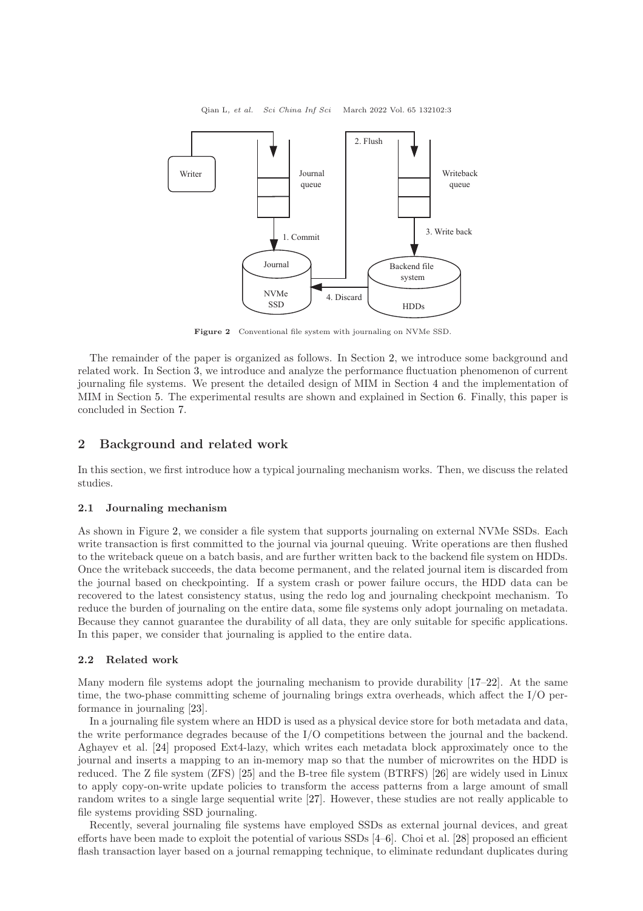<span id="page-2-1"></span>

Figure 2 Conventional file system with journaling on NVMe SSD.

The remainder of the paper is organized as follows. In Section [2,](#page-2-0) we introduce some background and related work. In Section [3,](#page-3-0) we introduce and analyze the performance fluctuation phenomenon of current journaling file systems. We present the detailed design of MIM in Section [4](#page-5-0) and the implementation of MIM in Section [5.](#page-8-0) The experimental results are shown and explained in Section [6.](#page-9-0) Finally, this paper is concluded in Section [7.](#page-13-11)

## <span id="page-2-0"></span>2 Background and related work

In this section, we first introduce how a typical journaling mechanism works. Then, we discuss the related studies.

#### 2.1 Journaling mechanism

As shown in Figure [2,](#page-2-1) we consider a file system that supports journaling on external NVMe SSDs. Each write transaction is first committed to the journal via journal queuing. Write operations are then flushed to the writeback queue on a batch basis, and are further written back to the backend file system on HDDs. Once the writeback succeeds, the data become permanent, and the related journal item is discarded from the journal based on checkpointing. If a system crash or power failure occurs, the HDD data can be recovered to the latest consistency status, using the redo log and journaling checkpoint mechanism. To reduce the burden of journaling on the entire data, some file systems only adopt journaling on metadata. Because they cannot guarantee the durability of all data, they are only suitable for specific applications. In this paper, we consider that journaling is applied to the entire data.

#### 2.2 Related work

Many modern file systems adopt the journaling mechanism to provide durability [\[17](#page-13-12)[–22\]](#page-13-13). At the same time, the two-phase committing scheme of journaling brings extra overheads, which affect the I/O performance in journaling [\[23\]](#page-13-14).

In a journaling file system where an HDD is used as a physical device store for both metadata and data, the write performance degrades because of the I/O competitions between the journal and the backend. Aghayev et al. [\[24\]](#page-13-15) proposed Ext4-lazy, which writes each metadata block approximately once to the journal and inserts a mapping to an in-memory map so that the number of microwrites on the HDD is reduced. The Z file system (ZFS) [\[25\]](#page-13-16) and the B-tree file system (BTRFS) [\[26\]](#page-13-17) are widely used in Linux to apply copy-on-write update policies to transform the access patterns from a large amount of small random writes to a single large sequential write [\[27\]](#page-13-18). However, these studies are not really applicable to file systems providing SSD journaling.

Recently, several journaling file systems have employed SSDs as external journal devices, and great efforts have been made to exploit the potential of various SSDs [\[4–](#page-13-3)[6\]](#page-13-4). Choi et al. [\[28\]](#page-13-19) proposed an efficient flash transaction layer based on a journal remapping technique, to eliminate redundant duplicates during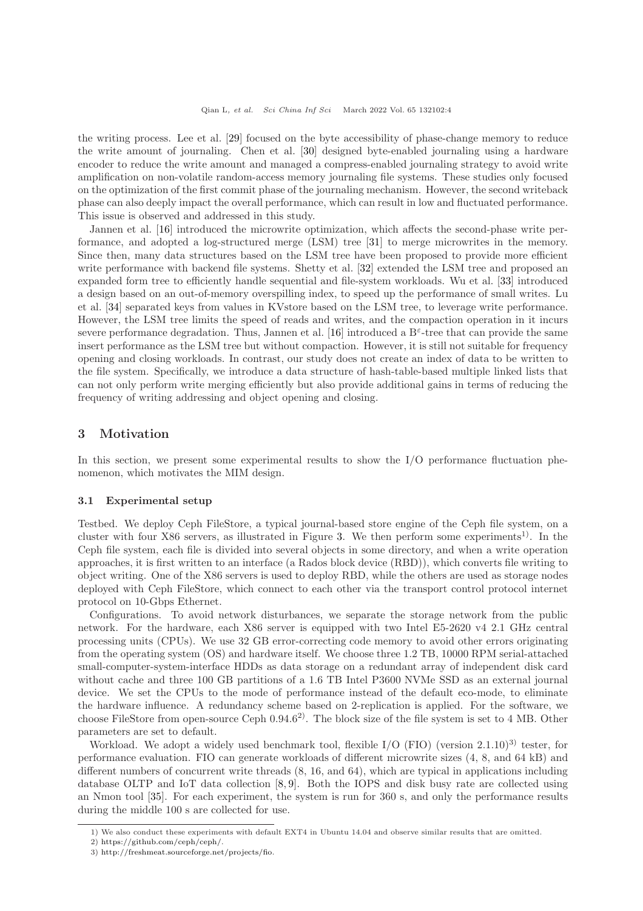the writing process. Lee et al. [\[29\]](#page-14-1) focused on the byte accessibility of phase-change memory to reduce the write amount of journaling. Chen et al. [\[30\]](#page-14-2) designed byte-enabled journaling using a hardware encoder to reduce the write amount and managed a compress-enabled journaling strategy to avoid write amplification on non-volatile random-access memory journaling file systems. These studies only focused on the optimization of the first commit phase of the journaling mechanism. However, the second writeback phase can also deeply impact the overall performance, which can result in low and fluctuated performance. This issue is observed and addressed in this study.

Jannen et al. [\[16\]](#page-13-10) introduced the microwrite optimization, which affects the second-phase write performance, and adopted a log-structured merge (LSM) tree [\[31\]](#page-14-3) to merge microwrites in the memory. Since then, many data structures based on the LSM tree have been proposed to provide more efficient write performance with backend file systems. Shetty et al. [\[32\]](#page-14-4) extended the LSM tree and proposed an expanded form tree to efficiently handle sequential and file-system workloads. Wu et al. [\[33\]](#page-14-5) introduced a design based on an out-of-memory overspilling index, to speed up the performance of small writes. Lu et al. [\[34\]](#page-14-6) separated keys from values in KVstore based on the LSM tree, to leverage write performance. However, the LSM tree limits the speed of reads and writes, and the compaction operation in it incurs severe performance degradation. Thus, Jannen et al. [\[16\]](#page-13-10) introduced a  $B^{\epsilon}$ -tree that can provide the same insert performance as the LSM tree but without compaction. However, it is still not suitable for frequency opening and closing workloads. In contrast, our study does not create an index of data to be written to the file system. Specifically, we introduce a data structure of hash-table-based multiple linked lists that can not only perform write merging efficiently but also provide additional gains in terms of reducing the frequency of writing addressing and object opening and closing.

#### <span id="page-3-0"></span>3 Motivation

In this section, we present some experimental results to show the I/O performance fluctuation phenomenon, which motivates the MIM design.

#### 3.1 Experimental setup

Testbed. We deploy Ceph FileStore, a typical journal-based store engine of the Ceph file system, on a cluster with four X86 servers, as illustrated in Figure [3.](#page-4-0) We then perform some experiments<sup>1)</sup>. In the Ceph file system, each file is divided into several objects in some directory, and when a write operation approaches, it is first written to an interface (a Rados block device (RBD)), which converts file writing to object writing. One of the X86 servers is used to deploy RBD, while the others are used as storage nodes deployed with Ceph FileStore, which connect to each other via the transport control protocol internet protocol on 10-Gbps Ethernet.

Configurations. To avoid network disturbances, we separate the storage network from the public network. For the hardware, each X86 server is equipped with two Intel E5-2620 v4 2.1 GHz central processing units (CPUs). We use 32 GB error-correcting code memory to avoid other errors originating from the operating system (OS) and hardware itself. We choose three 1.2 TB, 10000 RPM serial-attached small-computer-system-interface HDDs as data storage on a redundant array of independent disk card without cache and three 100 GB partitions of a 1.6 TB Intel P3600 NVMe SSD as an external journal device. We set the CPUs to the mode of performance instead of the default eco-mode, to eliminate the hardware influence. A redundancy scheme based on 2-replication is applied. For the software, we choose FileStore from open-source Ceph  $0.94.6^{2}$ . The block size of the file system is set to 4 MB. Other parameters are set to default.

Workload. We adopt a widely used benchmark tool, flexible  $I/O$  (FIO) (version 2.1.10)<sup>3)</sup> tester, for performance evaluation. FIO can generate workloads of different microwrite sizes (4, 8, and 64 kB) and different numbers of concurrent write threads (8, 16, and 64), which are typical in applications including database OLTP and IoT data collection [\[8,](#page-13-6) [9\]](#page-13-20). Both the IOPS and disk busy rate are collected using an Nmon tool [\[35\]](#page-14-7). For each experiment, the system is run for 360 s, and only the performance results during the middle 100 s are collected for use.

<sup>1)</sup> We also conduct these experiments with default EXT4 in Ubuntu 14.04 and observe similar results that are omitted.

<sup>2)</sup> [https://github.com/ceph/ceph/.](https://github.com/ceph/ceph/)

<sup>3)</sup> [http://freshmeat.sourceforge.net/projects/fio.](http://freshmeat.sourceforge.net/projects/fio)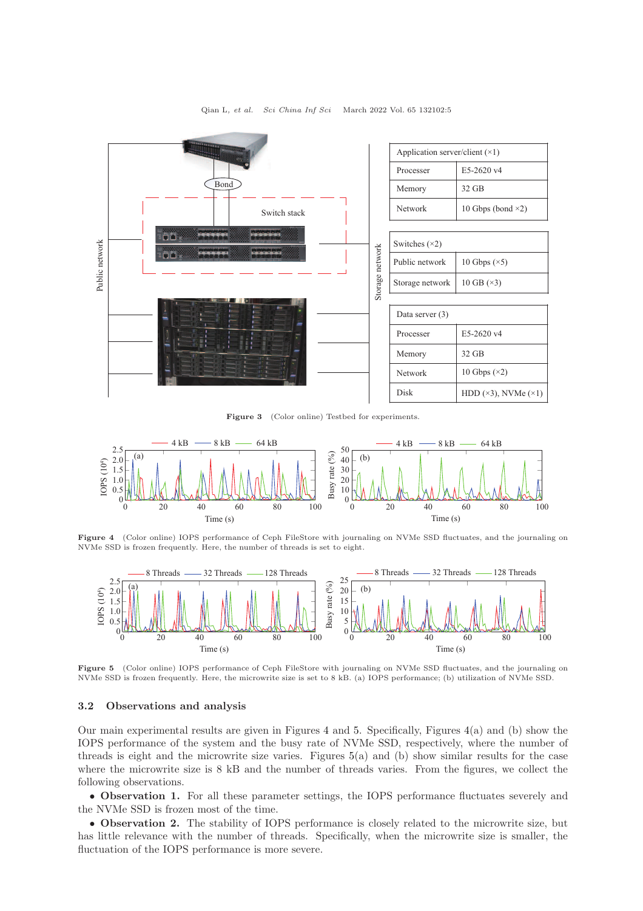<span id="page-4-0"></span>

Figure 3 (Color online) Testbed for experiments.

<span id="page-4-1"></span>

Figure 4 (Color online) IOPS performance of Ceph FileStore with journaling on NVMe SSD fluctuates, and the journaling on NVMe SSD is frozen frequently. Here, the number of threads is set to eight.

<span id="page-4-2"></span>

Figure 5 (Color online) IOPS performance of Ceph FileStore with journaling on NVMe SSD fluctuates, and the journaling on NVMe SSD is frozen frequently. Here, the microwrite size is set to 8 kB. (a) IOPS performance; (b) utilization of NVMe SSD.

#### 3.2 Observations and analysis

Our main experimental results are given in Figures [4](#page-4-1) and [5.](#page-4-2) Specifically, Figures  $4(a)$  $4(a)$  and (b) show the IOPS performance of the system and the busy rate of NVMe SSD, respectively, where the number of threads is eight and the microwrite size varies. Figures [5\(](#page-4-2)a) and (b) show similar results for the case where the microwrite size is 8 kB and the number of threads varies. From the figures, we collect the following observations.

• Observation 1. For all these parameter settings, the IOPS performance fluctuates severely and the NVMe SSD is frozen most of the time.

• Observation 2. The stability of IOPS performance is closely related to the microwrite size, but has little relevance with the number of threads. Specifically, when the microwrite size is smaller, the fluctuation of the IOPS performance is more severe.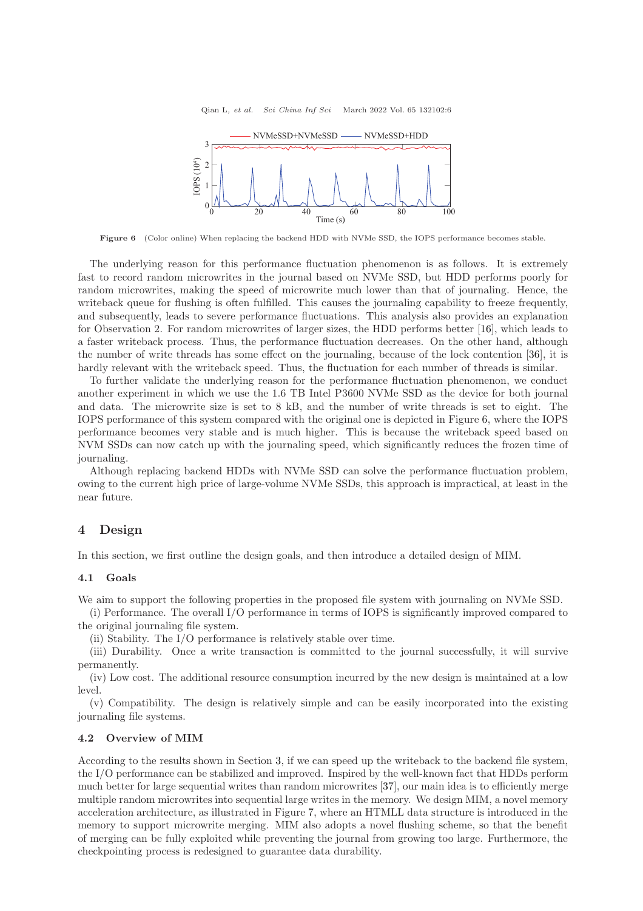<span id="page-5-1"></span>

Figure 6 (Color online) When replacing the backend HDD with NVMe SSD, the IOPS performance becomes stable.

The underlying reason for this performance fluctuation phenomenon is as follows. It is extremely fast to record random microwrites in the journal based on NVMe SSD, but HDD performs poorly for random microwrites, making the speed of microwrite much lower than that of journaling. Hence, the writeback queue for flushing is often fulfilled. This causes the journaling capability to freeze frequently, and subsequently, leads to severe performance fluctuations. This analysis also provides an explanation for Observation 2. For random microwrites of larger sizes, the HDD performs better [\[16\]](#page-13-10), which leads to a faster writeback process. Thus, the performance fluctuation decreases. On the other hand, although the number of write threads has some effect on the journaling, because of the lock contention [\[36\]](#page-14-8), it is hardly relevant with the writeback speed. Thus, the fluctuation for each number of threads is similar.

To further validate the underlying reason for the performance fluctuation phenomenon, we conduct another experiment in which we use the 1.6 TB Intel P3600 NVMe SSD as the device for both journal and data. The microwrite size is set to 8 kB, and the number of write threads is set to eight. The IOPS performance of this system compared with the original one is depicted in Figure [6,](#page-5-1) where the IOPS performance becomes very stable and is much higher. This is because the writeback speed based on NVM SSDs can now catch up with the journaling speed, which significantly reduces the frozen time of journaling.

Although replacing backend HDDs with NVMe SSD can solve the performance fluctuation problem, owing to the current high price of large-volume NVMe SSDs, this approach is impractical, at least in the near future.

#### <span id="page-5-0"></span>4 Design

In this section, we first outline the design goals, and then introduce a detailed design of MIM.

#### 4.1 Goals

We aim to support the following properties in the proposed file system with journaling on NVMe SSD.

(i) Performance. The overall I/O performance in terms of IOPS is significantly improved compared to the original journaling file system.

(ii) Stability. The I/O performance is relatively stable over time.

(iii) Durability. Once a write transaction is committed to the journal successfully, it will survive permanently.

(iv) Low cost. The additional resource consumption incurred by the new design is maintained at a low level.

(v) Compatibility. The design is relatively simple and can be easily incorporated into the existing journaling file systems.

#### 4.2 Overview of MIM

According to the results shown in Section [3,](#page-3-0) if we can speed up the writeback to the backend file system, the I/O performance can be stabilized and improved. Inspired by the well-known fact that HDDs perform much better for large sequential writes than random microwrites [\[37\]](#page-14-9), our main idea is to efficiently merge multiple random microwrites into sequential large writes in the memory. We design MIM, a novel memory acceleration architecture, as illustrated in Figure [7,](#page-6-0) where an HTMLL data structure is introduced in the memory to support microwrite merging. MIM also adopts a novel flushing scheme, so that the benefit of merging can be fully exploited while preventing the journal from growing too large. Furthermore, the checkpointing process is redesigned to guarantee data durability.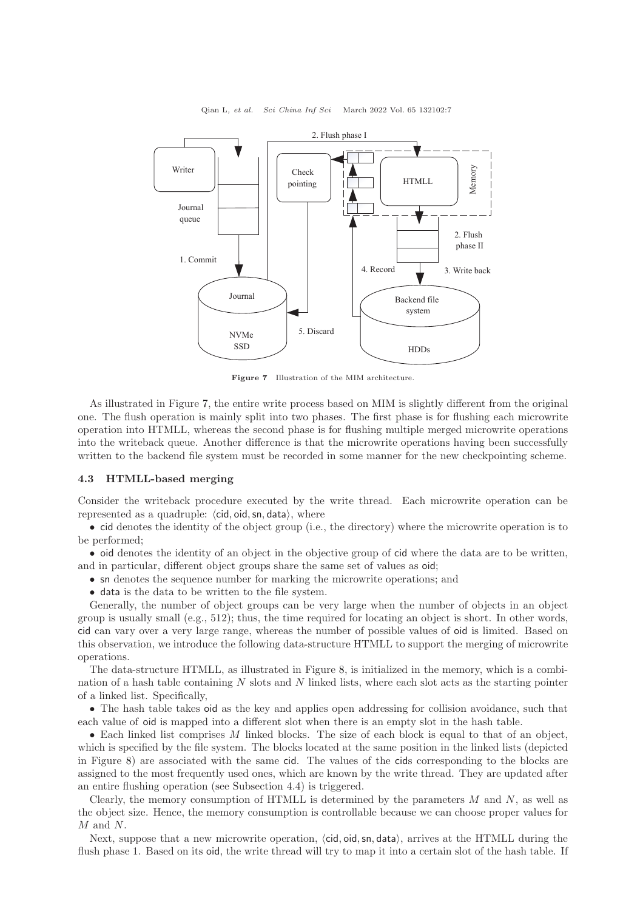<span id="page-6-0"></span>

Figure 7 Illustration of the MIM architecture.

As illustrated in Figure [7,](#page-6-0) the entire write process based on MIM is slightly different from the original one. The flush operation is mainly split into two phases. The first phase is for flushing each microwrite operation into HTMLL, whereas the second phase is for flushing multiple merged microwrite operations into the writeback queue. Another difference is that the microwrite operations having been successfully written to the backend file system must be recorded in some manner for the new checkpointing scheme.

#### 4.3 HTMLL-based merging

Consider the writeback procedure executed by the write thread. Each microwrite operation can be represented as a quadruple:  $\langle$ cid, oid, sn, data $\rangle$ , where

• cid denotes the identity of the object group (i.e., the directory) where the microwrite operation is to be performed;

• oid denotes the identity of an object in the objective group of cid where the data are to be written, and in particular, different object groups share the same set of values as oid;

• sn denotes the sequence number for marking the microwrite operations; and

• data is the data to be written to the file system.

Generally, the number of object groups can be very large when the number of objects in an object group is usually small (e.g., 512); thus, the time required for locating an object is short. In other words, cid can vary over a very large range, whereas the number of possible values of oid is limited. Based on this observation, we introduce the following data-structure HTMLL to support the merging of microwrite operations.

The data-structure HTMLL, as illustrated in Figure [8,](#page-7-0) is initialized in the memory, which is a combination of a hash table containing  $N$  slots and  $N$  linked lists, where each slot acts as the starting pointer of a linked list. Specifically,

• The hash table takes oid as the key and applies open addressing for collision avoidance, such that each value of oid is mapped into a different slot when there is an empty slot in the hash table.

 $\bullet$  Each linked list comprises M linked blocks. The size of each block is equal to that of an object, which is specified by the file system. The blocks located at the same position in the linked lists (depicted in Figure [8\)](#page-7-0) are associated with the same cid. The values of the cids corresponding to the blocks are assigned to the most frequently used ones, which are known by the write thread. They are updated after an entire flushing operation (see Subsection 4.4) is triggered.

Clearly, the memory consumption of HTMLL is determined by the parameters  $M$  and  $N$ , as well as the object size. Hence, the memory consumption is controllable because we can choose proper values for M and N.

Next, suppose that a new microwrite operation,  $\langle$ cid, oid, sn, data $\rangle$ , arrives at the HTMLL during the flush phase 1. Based on its oid, the write thread will try to map it into a certain slot of the hash table. If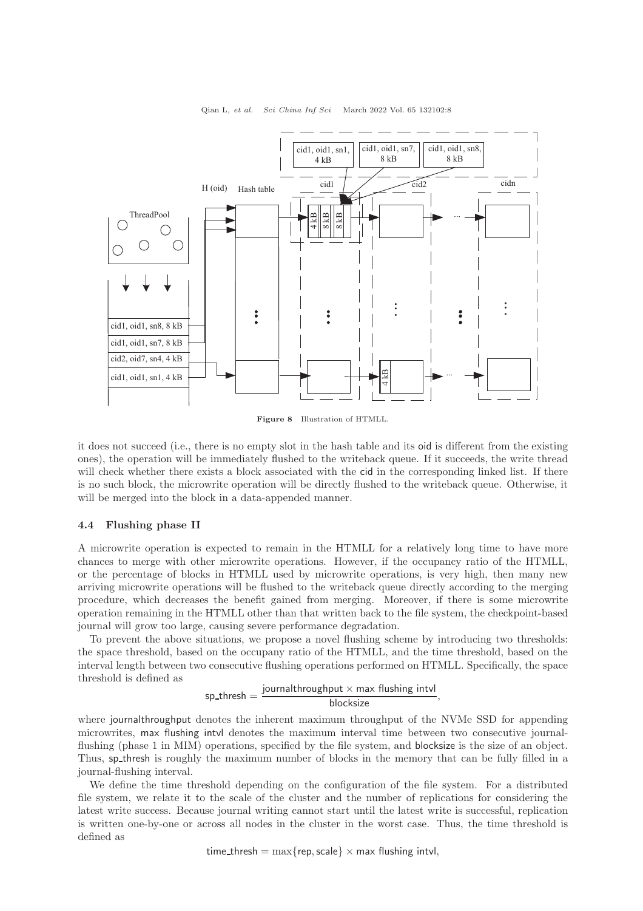<span id="page-7-0"></span>

Figure 8 Illustration of HTMLL.

it does not succeed (i.e., there is no empty slot in the hash table and its oid is different from the existing ones), the operation will be immediately flushed to the writeback queue. If it succeeds, the write thread will check whether there exists a block associated with the cid in the corresponding linked list. If there is no such block, the microwrite operation will be directly flushed to the writeback queue. Otherwise, it will be merged into the block in a data-appended manner.

#### 4.4 Flushing phase II

A microwrite operation is expected to remain in the HTMLL for a relatively long time to have more chances to merge with other microwrite operations. However, if the occupancy ratio of the HTMLL, or the percentage of blocks in HTMLL used by microwrite operations, is very high, then many new arriving microwrite operations will be flushed to the writeback queue directly according to the merging procedure, which decreases the benefit gained from merging. Moreover, if there is some microwrite operation remaining in the HTMLL other than that written back to the file system, the checkpoint-based journal will grow too large, causing severe performance degradation.

To prevent the above situations, we propose a novel flushing scheme by introducing two thresholds: the space threshold, based on the occupany ratio of the HTMLL, and the time threshold, based on the interval length between two consecutive flushing operations performed on HTMLL. Specifically, the space threshold is defined as

$$
\text{spt.} \text{thresh} = \frac{\text{journalthroughput} \times \text{max} \text{ flux,} \text{intul}}{\text{blocksize}},
$$

where journalthroughput denotes the inherent maximum throughput of the NVMe SSD for appending microwrites, max flushing intvl denotes the maximum interval time between two consecutive journalflushing (phase 1 in MIM) operations, specified by the file system, and blocksize is the size of an object. Thus, sp thresh is roughly the maximum number of blocks in the memory that can be fully filled in a journal-flushing interval.

We define the time threshold depending on the configuration of the file system. For a distributed file system, we relate it to the scale of the cluster and the number of replications for considering the latest write success. Because journal writing cannot start until the latest write is successful, replication is written one-by-one or across all nodes in the cluster in the worst case. Thus, the time threshold is defined as

time\_thresh =  $\max{\text{rep, scale}} \times \max{\text{fusion}}$  intvl,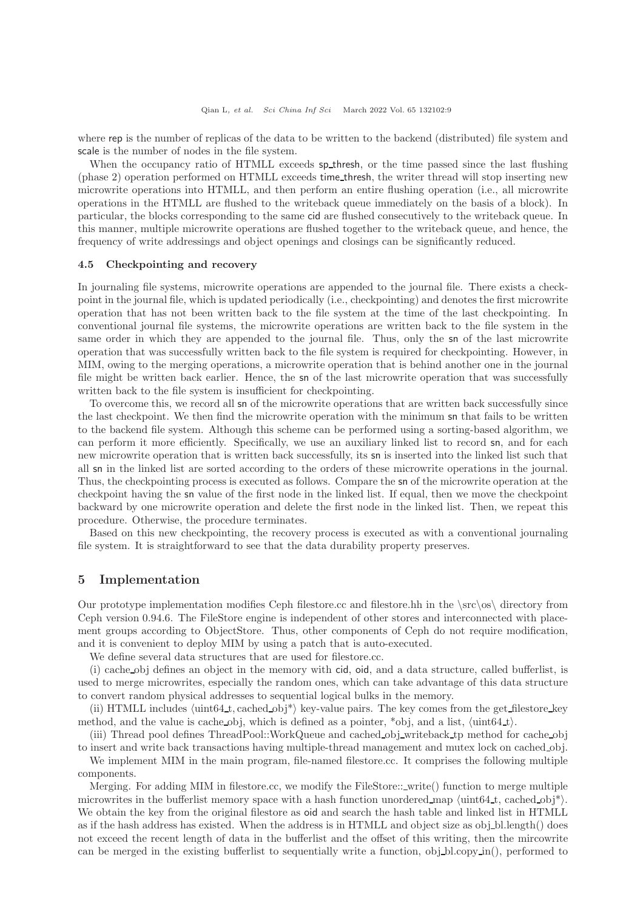where rep is the number of replicas of the data to be written to the backend (distributed) file system and scale is the number of nodes in the file system.

When the occupancy ratio of HTMLL exceeds sp\_thresh, or the time passed since the last flushing (phase 2) operation performed on HTMLL exceeds time thresh, the writer thread will stop inserting new microwrite operations into HTMLL, and then perform an entire flushing operation (i.e., all microwrite operations in the HTMLL are flushed to the writeback queue immediately on the basis of a block). In particular, the blocks corresponding to the same cid are flushed consecutively to the writeback queue. In this manner, multiple microwrite operations are flushed together to the writeback queue, and hence, the frequency of write addressings and object openings and closings can be significantly reduced.

#### 4.5 Checkpointing and recovery

In journaling file systems, microwrite operations are appended to the journal file. There exists a checkpoint in the journal file, which is updated periodically (i.e., checkpointing) and denotes the first microwrite operation that has not been written back to the file system at the time of the last checkpointing. In conventional journal file systems, the microwrite operations are written back to the file system in the same order in which they are appended to the journal file. Thus, only the sn of the last microwrite operation that was successfully written back to the file system is required for checkpointing. However, in MIM, owing to the merging operations, a microwrite operation that is behind another one in the journal file might be written back earlier. Hence, the sn of the last microwrite operation that was successfully written back to the file system is insufficient for checkpointing.

To overcome this, we record all sn of the microwrite operations that are written back successfully since the last checkpoint. We then find the microwrite operation with the minimum sn that fails to be written to the backend file system. Although this scheme can be performed using a sorting-based algorithm, we can perform it more efficiently. Specifically, we use an auxiliary linked list to record sn, and for each new microwrite operation that is written back successfully, its sn is inserted into the linked list such that all sn in the linked list are sorted according to the orders of these microwrite operations in the journal. Thus, the checkpointing process is executed as follows. Compare the sn of the microwrite operation at the checkpoint having the sn value of the first node in the linked list. If equal, then we move the checkpoint backward by one microwrite operation and delete the first node in the linked list. Then, we repeat this procedure. Otherwise, the procedure terminates.

Based on this new checkpointing, the recovery process is executed as with a conventional journaling file system. It is straightforward to see that the data durability property preserves.

#### <span id="page-8-0"></span>5 Implementation

Our prototype implementation modifies Ceph filestore.cc and filestore.hh in the  $\src\os\$  directory from Ceph version 0.94.6. The FileStore engine is independent of other stores and interconnected with placement groups according to ObjectStore. Thus, other components of Ceph do not require modification, and it is convenient to deploy MIM by using a patch that is auto-executed.

We define several data structures that are used for filestore.cc.

(i) cache obj defines an object in the memory with cid, oid, and a data structure, called bufferlist, is used to merge microwrites, especially the random ones, which can take advantage of this data structure to convert random physical addresses to sequential logical bulks in the memory.

(ii) HTMLL includes  $\langle \text{uint64\_t}, \text{cached\_obj*} \rangle$  key-value pairs. The key comes from the get filestore key method, and the value is cache obj, which is defined as a pointer, \*obj, and a list,  $\langle \text{uint64-t} \rangle$ .

(iii) Thread pool defines ThreadPool::WorkQueue and cached obj writeback tp method for cache obj to insert and write back transactions having multiple-thread management and mutex lock on cached obj.

We implement MIM in the main program, file-named filestore.cc. It comprises the following multiple components.

Merging. For adding MIM in filestore.cc, we modify the FileStore:: write() function to merge multiple microwrites in the bufferlist memory space with a hash function unordered map  $\langle \text{uint64-t}, \text{cached_oobj*}\rangle$ . We obtain the key from the original filestore as oid and search the hash table and linked list in HTMLL as if the hash address has existed. When the address is in HTMLL and object size as obj-bl.length() does not exceed the recent length of data in the bufferlist and the offset of this writing, then the mircowrite can be merged in the existing bufferlist to sequentially write a function, obj bl.copy in(), performed to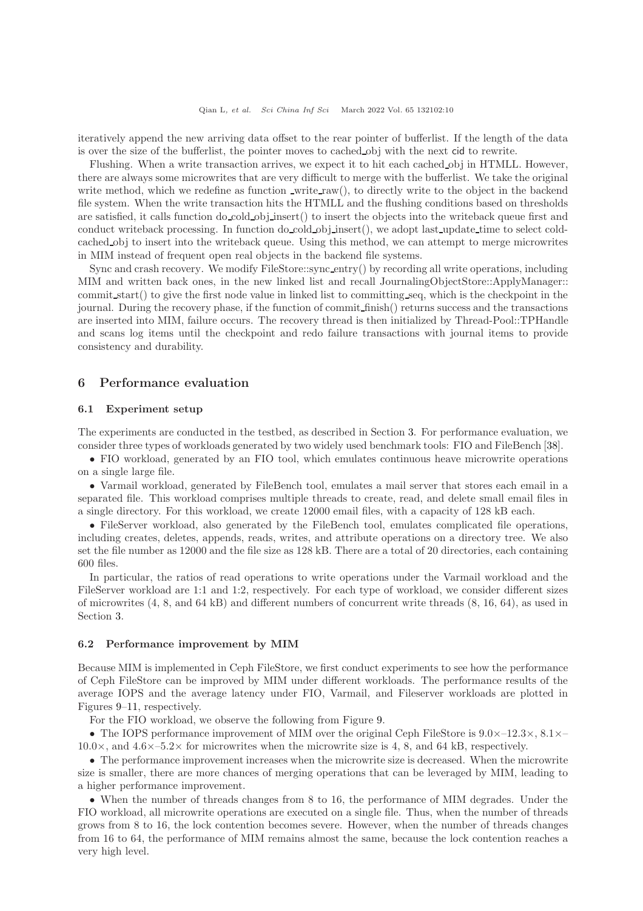iteratively append the new arriving data offset to the rear pointer of bufferlist. If the length of the data is over the size of the bufferlist, the pointer moves to cached obj with the next cid to rewrite.

Flushing. When a write transaction arrives, we expect it to hit each cached obj in HTMLL. However, there are always some microwrites that are very difficult to merge with the bufferlist. We take the original write method, which we redefine as function \_write\_raw(), to directly write to the object in the backend file system. When the write transaction hits the HTMLL and the flushing conditions based on thresholds are satisfied, it calls function do cold obj insert() to insert the objects into the writeback queue first and conduct writeback processing. In function do cold obj insert(), we adopt last update time to select coldcached obj to insert into the writeback queue. Using this method, we can attempt to merge microwrites in MIM instead of frequent open real objects in the backend file systems.

Sync and crash recovery. We modify FileStore::sync entry() by recording all write operations, including MIM and written back ones, in the new linked list and recall JournalingObjectStore::ApplyManager:: commit start() to give the first node value in linked list to committing seq, which is the checkpoint in the journal. During the recovery phase, if the function of commit finish() returns success and the transactions are inserted into MIM, failure occurs. The recovery thread is then initialized by Thread-Pool::TPHandle and scans log items until the checkpoint and redo failure transactions with journal items to provide consistency and durability.

#### <span id="page-9-0"></span>6 Performance evaluation

#### 6.1 Experiment setup

The experiments are conducted in the testbed, as described in Section [3.](#page-3-0) For performance evaluation, we consider three types of workloads generated by two widely used benchmark tools: FIO and FileBench [\[38\]](#page-14-10).

• FIO workload, generated by an FIO tool, which emulates continuous heave microwrite operations on a single large file.

• Varmail workload, generated by FileBench tool, emulates a mail server that stores each email in a separated file. This workload comprises multiple threads to create, read, and delete small email files in a single directory. For this workload, we create 12000 email files, with a capacity of 128 kB each.

• FileServer workload, also generated by the FileBench tool, emulates complicated file operations, including creates, deletes, appends, reads, writes, and attribute operations on a directory tree. We also set the file number as 12000 and the file size as 128 kB. There are a total of 20 directories, each containing 600 files.

In particular, the ratios of read operations to write operations under the Varmail workload and the FileServer workload are 1:1 and 1:2, respectively. For each type of workload, we consider different sizes of microwrites (4, 8, and 64 kB) and different numbers of concurrent write threads (8, 16, 64), as used in Section [3.](#page-3-0)

#### 6.2 Performance improvement by MIM

Because MIM is implemented in Ceph FileStore, we first conduct experiments to see how the performance of Ceph FileStore can be improved by MIM under different workloads. The performance results of the average IOPS and the average latency under FIO, Varmail, and Fileserver workloads are plotted in Figures [9](#page-10-0)[–11,](#page-10-1) respectively.

For the FIO workload, we observe the following from Figure [9.](#page-10-0)

• The IOPS performance improvement of MIM over the original Ceph FileStore is 9.0×–12.3×, 8.1×–  $10.0\times$ , and  $4.6\times$ -5.2 $\times$  for microwrites when the microwrite size is 4, 8, and 64 kB, respectively.

• The performance improvement increases when the microwrite size is decreased. When the microwrite size is smaller, there are more chances of merging operations that can be leveraged by MIM, leading to a higher performance improvement.

• When the number of threads changes from 8 to 16, the performance of MIM degrades. Under the FIO workload, all microwrite operations are executed on a single file. Thus, when the number of threads grows from 8 to 16, the lock contention becomes severe. However, when the number of threads changes from 16 to 64, the performance of MIM remains almost the same, because the lock contention reaches a very high level.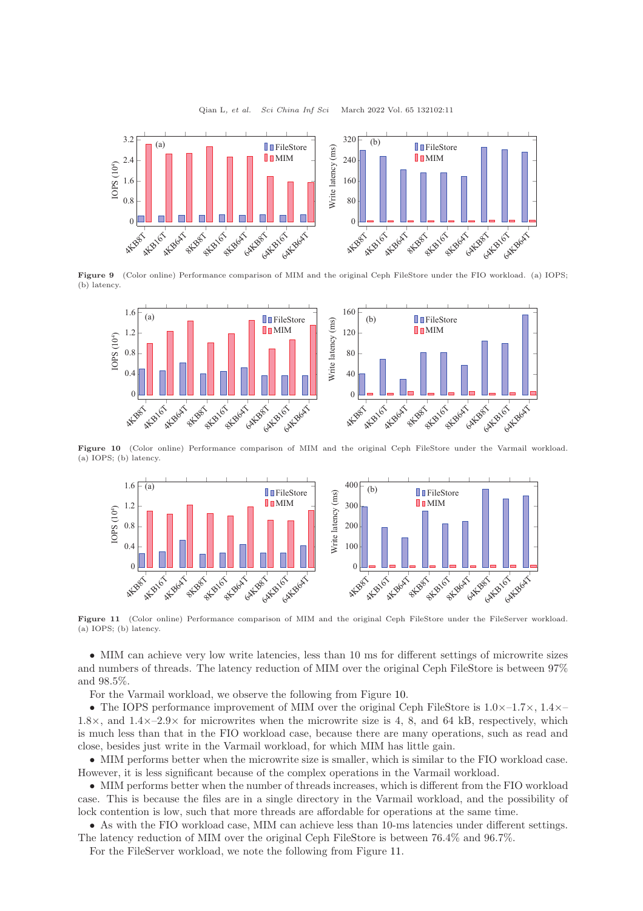Qian L, et al. Sci China Inf Sci March 2022 Vol. 65 132102:11

<span id="page-10-0"></span>

<span id="page-10-2"></span>Figure 9 (Color online) Performance comparison of MIM and the original Ceph FileStore under the FIO workload. (a) IOPS; (b) latency.



<span id="page-10-1"></span>Figure 10 (Color online) Performance comparison of MIM and the original Ceph FileStore under the Varmail workload. (a) IOPS; (b) latency.



Figure 11 (Color online) Performance comparison of MIM and the original Ceph FileStore under the FileServer workload. (a) IOPS; (b) latency.

• MIM can achieve very low write latencies, less than 10 ms for different settings of microwrite sizes and numbers of threads. The latency reduction of MIM over the original Ceph FileStore is between 97% and 98.5%.

For the Varmail workload, we observe the following from Figure [10.](#page-10-2)

• The IOPS performance improvement of MIM over the original Ceph FileStore is  $1.0\times -1.7\times$ ,  $1.4\times -1.7\times$ 1.8 $\times$ , and 1.4 $\times$ –2.9 $\times$  for microwrites when the microwrite size is 4, 8, and 64 kB, respectively, which is much less than that in the FIO workload case, because there are many operations, such as read and close, besides just write in the Varmail workload, for which MIM has little gain.

• MIM performs better when the microwrite size is smaller, which is similar to the FIO workload case. However, it is less significant because of the complex operations in the Varmail workload.

• MIM performs better when the number of threads increases, which is different from the FIO workload case. This is because the files are in a single directory in the Varmail workload, and the possibility of lock contention is low, such that more threads are affordable for operations at the same time.

• As with the FIO workload case, MIM can achieve less than 10-ms latencies under different settings. The latency reduction of MIM over the original Ceph FileStore is between 76.4% and 96.7%.

For the FileServer workload, we note the following from Figure [11.](#page-10-1)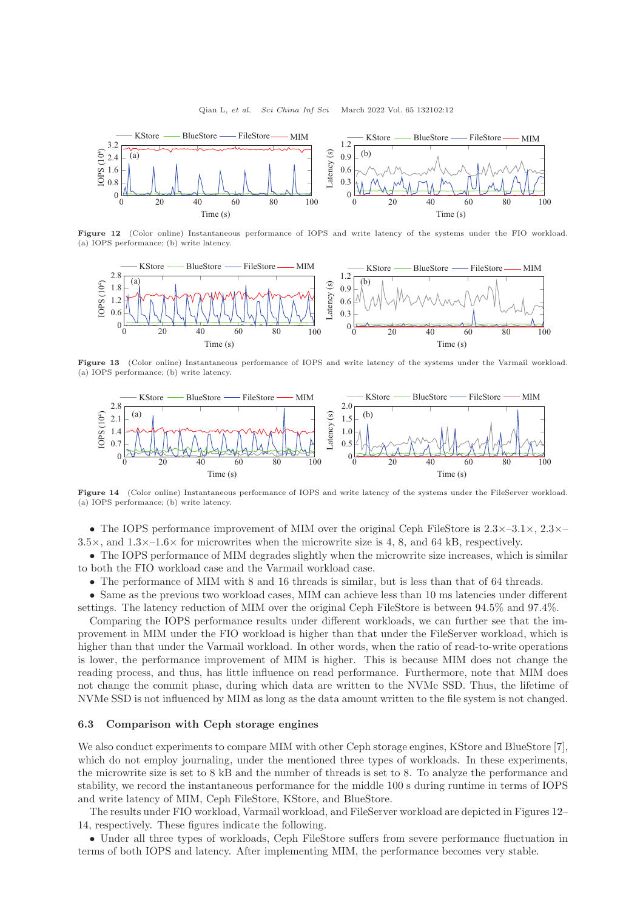<span id="page-11-0"></span>

Figure 12 (Color online) Instantaneous performance of IOPS and write latency of the systems under the FIO workload. (a) IOPS performance; (b) write latency.



Figure 13 (Color online) Instantaneous performance of IOPS and write latency of the systems under the Varmail workload. (a) IOPS performance; (b) write latency.

<span id="page-11-1"></span>

Figure 14 (Color online) Instantaneous performance of IOPS and write latency of the systems under the FileServer workload. (a) IOPS performance; (b) write latency.

• The IOPS performance improvement of MIM over the original Ceph FileStore is  $2.3 \times -3.1 \times$ ,  $2.3 \times 3.5\times$ , and  $1.3\times-1.6\times$  for microwrites when the microwrite size is 4, 8, and 64 kB, respectively.

• The IOPS performance of MIM degrades slightly when the microwrite size increases, which is similar to both the FIO workload case and the Varmail workload case.

• The performance of MIM with 8 and 16 threads is similar, but is less than that of 64 threads.

• Same as the previous two workload cases, MIM can achieve less than 10 ms latencies under different settings. The latency reduction of MIM over the original Ceph FileStore is between 94.5% and 97.4%.

Comparing the IOPS performance results under different workloads, we can further see that the improvement in MIM under the FIO workload is higher than that under the FileServer workload, which is higher than that under the Varmail workload. In other words, when the ratio of read-to-write operations is lower, the performance improvement of MIM is higher. This is because MIM does not change the reading process, and thus, has little influence on read performance. Furthermore, note that MIM does not change the commit phase, during which data are written to the NVMe SSD. Thus, the lifetime of NVMe SSD is not influenced by MIM as long as the data amount written to the file system is not changed.

#### 6.3 Comparison with Ceph storage engines

We also conduct experiments to compare MIM with other Ceph storage engines, KStore and BlueStore [\[7\]](#page-13-5), which do not employ journaling, under the mentioned three types of workloads. In these experiments, the microwrite size is set to 8 kB and the number of threads is set to 8. To analyze the performance and stability, we record the instantaneous performance for the middle 100 s during runtime in terms of IOPS and write latency of MIM, Ceph FileStore, KStore, and BlueStore.

The results under FIO workload, Varmail workload, and FileServer workload are depicted in Figures [12–](#page-11-0) [14,](#page-11-1) respectively. These figures indicate the following.

• Under all three types of workloads, Ceph FileStore suffers from severe performance fluctuation in terms of both IOPS and latency. After implementing MIM, the performance becomes very stable.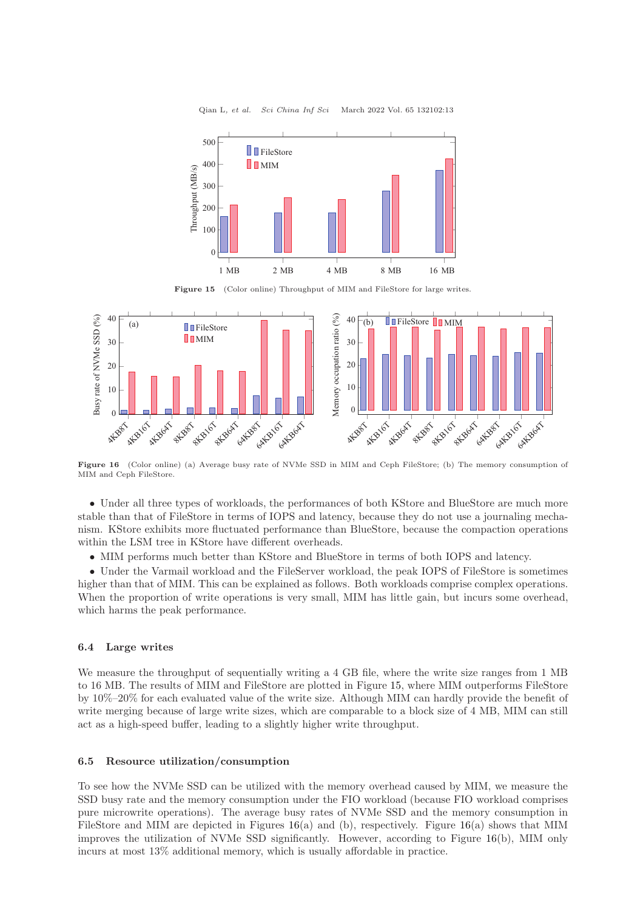<span id="page-12-0"></span>

Qian L, et al. Sci China Inf Sci March 2022 Vol. 65 132102:13

Figure 15 (Color online) Throughput of MIM and FileStore for large writes.

<span id="page-12-1"></span>

Figure 16 (Color online) (a) Average busy rate of NVMe SSD in MIM and Ceph FileStore; (b) The memory consumption of MIM and Ceph FileStore.

• Under all three types of workloads, the performances of both KStore and BlueStore are much more stable than that of FileStore in terms of IOPS and latency, because they do not use a journaling mechanism. KStore exhibits more fluctuated performance than BlueStore, because the compaction operations within the LSM tree in KStore have different overheads.

• MIM performs much better than KStore and BlueStore in terms of both IOPS and latency.

• Under the Varmail workload and the FileServer workload, the peak IOPS of FileStore is sometimes higher than that of MIM. This can be explained as follows. Both workloads comprise complex operations. When the proportion of write operations is very small, MIM has little gain, but incurs some overhead, which harms the peak performance.

#### 6.4 Large writes

We measure the throughput of sequentially writing a 4 GB file, where the write size ranges from 1 MB to 16 MB. The results of MIM and FileStore are plotted in Figure [15,](#page-12-0) where MIM outperforms FileStore by 10%–20% for each evaluated value of the write size. Although MIM can hardly provide the benefit of write merging because of large write sizes, which are comparable to a block size of 4 MB, MIM can still act as a high-speed buffer, leading to a slightly higher write throughput.

#### 6.5 Resource utilization/consumption

To see how the NVMe SSD can be utilized with the memory overhead caused by MIM, we measure the SSD busy rate and the memory consumption under the FIO workload (because FIO workload comprises pure microwrite operations). The average busy rates of NVMe SSD and the memory consumption in FileStore and MIM are depicted in Figures  $16(a)$  $16(a)$  and (b), respectively. Figure  $16(a)$  shows that MIM improves the utilization of NVMe SSD significantly. However, according to Figure [16\(](#page-12-1)b), MIM only incurs at most 13% additional memory, which is usually affordable in practice.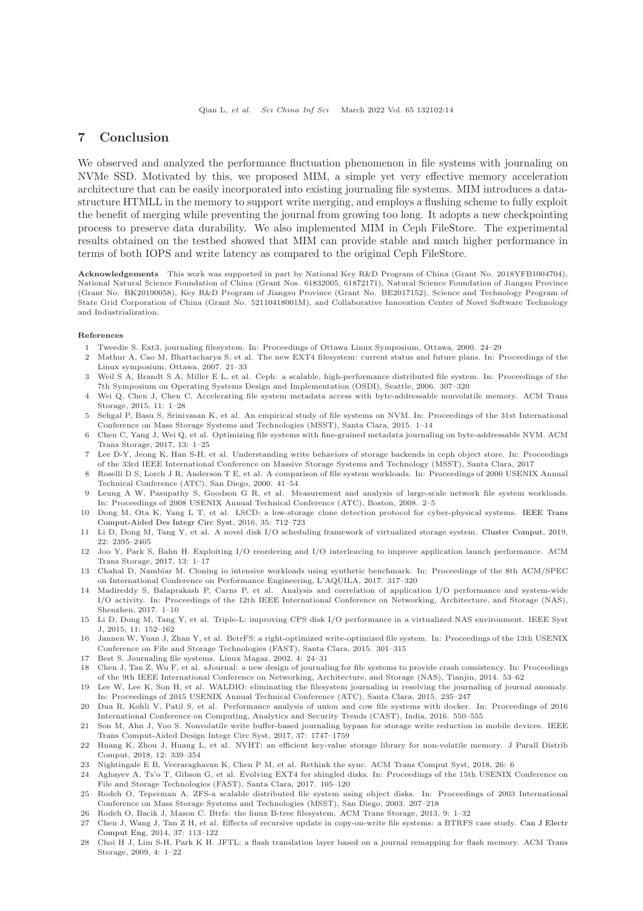## <span id="page-13-11"></span>7 Conclusion

We observed and analyzed the performance fluctuation phenomenon in file systems with journaling on NVMe SSD. Motivated by this, we proposed MIM, a simple yet very effective memory acceleration architecture that can be easily incorporated into existing journaling file systems. MIM introduces a datastructure HTMLL in the memory to support write merging, and employs a flushing scheme to fully exploit the benefit of merging while preventing the journal from growing too long. It adopts a new checkpointing process to preserve data durability. We also implemented MIM in Ceph FileStore. The experimental results obtained on the testbed showed that MIM can provide stable and much higher performance in terms of both IOPS and write latency as compared to the original Ceph FileStore.

Acknowledgements This work was supported in part by National Key R&D Program of China (Grant No. 2018YFB1004704), National Natural Science Foundation of China (Grant Nos. 61832005, 61872171), Natural Science Foundation of Jiangsu Province (Grant No. BK20190058), Key R&D Program of Jiangsu Province (Grant No. BE2017152), Science and Technology Program of State Grid Corporation of China (Grant No. 52110418001M), and Collaborative Innovation Center of Novel Software Technology and Industrialization.

#### <span id="page-13-0"></span>References

- <span id="page-13-1"></span>1 Tweedie S. Ext3, journaling filesystem. In: Proceedings of Ottawa Linux Symposium, Ottawa, 2000. 24–29
- 2 Mathur A, Cao M, Bhattacharya S, et al. The new EXT4 filesystem: current status and future plans. In: Proceedings of the Linux symposium, Ottawa, 2007. 21–33
- <span id="page-13-2"></span>3 Weil S A, Brandt S A, Miller E L, et al. Ceph: a scalable, high-performance distributed file system. In: Proceedings of the 7th Symposium on Operating Systems Design and Implementation (OSDI), Seattle, 2006. 307–320
- <span id="page-13-3"></span>4 Wei Q, Chen J, Chen C. Accelerating file system metadata access with byte-addressable nonvolatile memory. ACM Trans Storage, 2015, 11: 1–28
- 5 Sehgal P, Basu S, Srinivasan K, et al. An empirical study of file systems on NVM. In: Proceedings of the 31st International Conference on Mass Storage Systems and Technologies (MSST), Santa Clara, 2015. 1–14
- <span id="page-13-4"></span>6 Chen C, Yang J, Wei Q, et al. Optimizing file systems with fine-grained metadata journaling on byte-addressable NVM. ACM Trans Storage, 2017, 13: 1–25
- <span id="page-13-5"></span>7 Lee D-Y, Jeong K, Han S-H, et al. Understanding write behaviors of storage backends in ceph object store. In: Proceedings of the 33rd IEEE International Conference on Massive Storage Systems and Technology (MSST), Santa Clara, 2017
- <span id="page-13-6"></span>8 Roselli D S, Lorch J R, Anderson T E, et al. A comparison of file system workloads. In: Proceedings of 2000 USENIX Annual Technical Conference (ATC), San Diego, 2000. 41–54
- <span id="page-13-20"></span>9 Leung A W, Pasupathy S, Goodson G R, et al. Measurement and analysis of large-scale network file system workloads. In: Proceedings of 2008 USENIX Annual Technical Conference (ATC), Boston, 2008. 2–5
- 10 Dong M, Ota K, Yang L T, et al. LSCD: a low-storage clone detection protocol for cyber-physical systems. IEEE Trans Comput-Aided Des Integr Circ Syst, 2016, 35: 712–723
- <span id="page-13-7"></span>11 Li D, Dong M, Tang Y, et al. A novel disk I/O scheduling framework of virtualized storage system. [Cluster Comput,](https://doi.org/10.1007/s10586-017-1363-9) 2019, 22: 2395–2405
- <span id="page-13-8"></span>12 Joo Y, Park S, Bahn H. Exploiting I/O reordering and I/O interleaving to improve application launch performance. ACM Trans Storage, 2017, 13: 1–17
- 13 Chahal D, Nambiar M. Cloning io intensive workloads using synthetic benchmark. In: Proceedings of the 8th ACM/SPEC on International Conference on Performance Engineering, L'AQUILA, 2017. 317–320
- 14 Madireddy S, Balaprakash P, Carns P, et al. Analysis and correlation of application I/O performance and system-wide I/O activity. In: Proceedings of the 12th IEEE International Conference on Networking, Architecture, and Storage (NAS), Shenzhen, 2017. 1–10
- <span id="page-13-9"></span>15 Li D, Dong M, Tang Y, et al. Triple-L: improving CPS disk I/O performance in a virtualized NAS environment. IEEE Syst J, 2015, 11: 152–162
- <span id="page-13-10"></span>16 Jannen W, Yuan J, Zhan Y, et al. BetrFS: a right-optimized write-optimized file system. In: Proceedings of the 13th USENIX Conference on File and Storage Technologies (FAST), Santa Clara, 2015. 301–315
- <span id="page-13-12"></span>17 Best S. Journaling file systems. Linux Magaz, 2002, 4: 24–31
- 18 Chen J, Tan Z, Wu F, et al. sJournal: a new design of journaling for file systems to provide crash consistency. In: Proceedings of the 9th IEEE International Conference on Networking, Architecture, and Storage (NAS), Tianjin, 2014. 53–62
- 19 Lee W, Lee K, Son H, et al. WALDIO: eliminating the filesystem journaling in resolving the journaling of journal anomaly. In: Proceedings of 2015 USENIX Annual Technical Conference (ATC), Santa Clara, 2015. 235–247
- 20 Dua R, Kohli V, Patil S, et al. Performance analysis of union and cow file systems with docker. In: Proceedings of 2016 International Conference on Computing, Analytics and Security Trends (CAST), India, 2016. 550–555
- 21 Son M, Ahn J, Yoo S. Nonvolatile write buffer-based journaling bypass for storage write reduction in mobile devices. IEEE Trans Comput-Aided Design Integr Circ Syst, 2017, 37: 1747–1759
- <span id="page-13-13"></span>22 Huang K, Zhou J, Huang L, et al. NVHT: an efficient key-value storage library for non-volatile memory. J Parall Distrib Comput, 2018, 12: 339–354
- <span id="page-13-15"></span><span id="page-13-14"></span>23 Nightingale E B, Veeraraghavan K, Chen P M, et al. Rethink the sync. ACM Trans Comput Syst, 2018, 26: 6
- 24 Aghayev A, Ts'o T, Gibson G, et al. Evolving EXT4 for shingled disks. In: Proceedings of the 15th USENIX Conference on File and Storage Technologies (FAST), Santa Clara, 2017. 105–120
- <span id="page-13-16"></span>25 Rodeh O, Teperman A. ZFS-a scalable distributed file system using object disks. In: Proceedings of 2003 International Conference on Mass Storage Systems and Technologies (MSST), San Diego, 2003. 207–218
- <span id="page-13-18"></span><span id="page-13-17"></span>26 Rodeh O, Bacik J, Mason C. Btrfs: the linux B-tree filesystem. ACM Trans Storage, 2013, 9: 1–32
- 27 Chen J, Wang J, Tan Z H, et al. Effects of recursive update in copy-on-write file systems: a BTRFS case study. Can J Electr Comput Eng, 2014, 37: 113–122
- <span id="page-13-19"></span>28 Choi H J, Lim S-H, Park K H. JFTL: a flash translation layer based on a journal remapping for flash memory. ACM Trans Storage, 2009, 4: 1–22